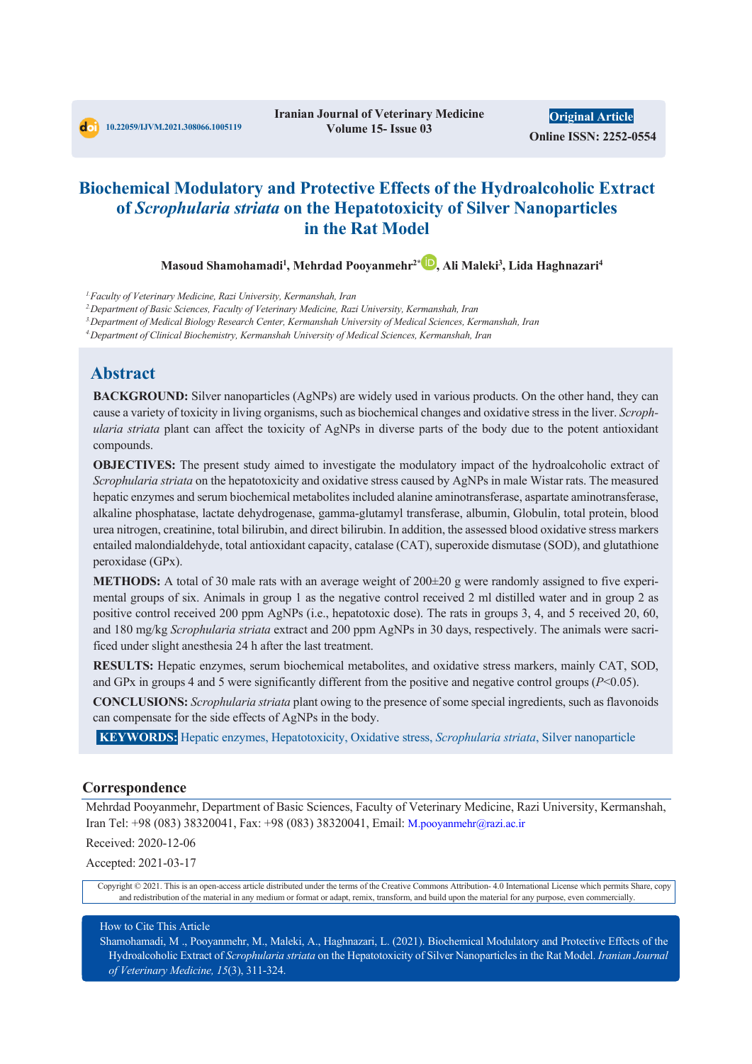# **Biochemical Modulatory and Protective Effects of the Hydroalcoholic Extract of** *Scrophularia striata* **on the Hepatotoxicity of Silver Nanoparticles in the Rat Model**

**Masoud Shamohamadi1 , Mehrdad Pooyanmehr2\* , Ali Maleki3 , Lida Haghnazari4**

<sup>1.</sup>Faculty of Veterinary Medicine, Razi University, Kermanshah, Iran<br><sup>2</sup> Department of Basic Sciences, Faculty of Veterinary Medicine, Razi University, Kermanshah, Iran

*3.Department of Medical Biology Research Center, Kermanshah University of Medical Sciences, Kermanshah, Iran*

*4.Department of Clinical Biochemistry, Kermanshah University of Medical Sciences, Kermanshah, Iran*

## **Abstract**

**BACKGROUND:** Silver nanoparticles (AgNPs) are widely used in various products. On the other hand, they can cause a variety of toxicity in living organisms, such as biochemical changes and oxidative stress in the liver. *Scrophularia striata* plant can affect the toxicity of AgNPs in diverse parts of the body due to the potent antioxidant compounds.

**OBJECTIVES:** The present study aimed to investigate the modulatory impact of the hydroalcoholic extract of *Scrophularia striata* on the hepatotoxicity and oxidative stress caused by AgNPs in male Wistar rats. The measured hepatic enzymes and serum biochemical metabolites included alanine aminotransferase, aspartate aminotransferase, alkaline phosphatase, lactate dehydrogenase, gamma-glutamyl transferase, albumin, Globulin, total protein, blood urea nitrogen, creatinine, total bilirubin, and direct bilirubin. In addition, the assessed blood oxidative stress markers entailed malondialdehyde, total antioxidant capacity, catalase (CAT), superoxide dismutase (SOD), and glutathione peroxidase (GPx).

**METHODS:** A total of 30 male rats with an average weight of 200±20 g were randomly assigned to five experimental groups of six. Animals in group 1 as the negative control received 2 ml distilled water and in group 2 as positive control received 200 ppm AgNPs (i.e., hepatotoxic dose). The rats in groups 3, 4, and 5 received 20, 60, and 180 mg/kg *Scrophularia striata* extract and 200 ppm AgNPs in 30 days, respectively. The animals were sacrificed under slight anesthesia 24 h after the last treatment.

**RESULTS:** Hepatic enzymes, serum biochemical metabolites, and oxidative stress markers, mainly CAT, SOD, and GPx in groups 4 and 5 were significantly different from the positive and negative control groups (*P*<0.05).

**CONCLUSIONS:** *Scrophularia striata* plant owing to the presence of some special ingredients, such as flavonoids can compensate for the side effects of AgNPs in the body.

**KEYWORDS:** Hepatic enzymes, Hepatotoxicity, Oxidative stress, *Scrophularia striata*, Silver nanoparticle

#### **Correspondence**

Mehrdad Pooyanmehr, Department of Basic Sciences, Faculty of Veterinary Medicine, Razi University, Kermanshah, Iran Tel: +98 (083) 38320041, Fax: +98 (083) 38320041, Email: M.pooyanmehr@razi.ac.ir

Received: 2020-12-06

Accepted: 2021-03-17

Copyright © 2021. This is an open-access article distributed under the terms of the Creative Commons Attribution- 4.0 International License which permits Share, copy and redistribution of the material in any medium or format or adapt, remix, transform, and build upon the material for any purpose, even commercially.

#### How to Cite This Article

Shamohamadi, M ., Pooyanmehr, M., Maleki, A., Haghnazari, L. (2021). Biochemical Modulatory and Protective Effects of the Hydroalcoholic Extract of *Scrophularia striata* on the Hepatotoxicity of Silver Nanoparticles in the Rat Model. *Iranian Journal of Veterinary Medicine, 15*(3), 311-324.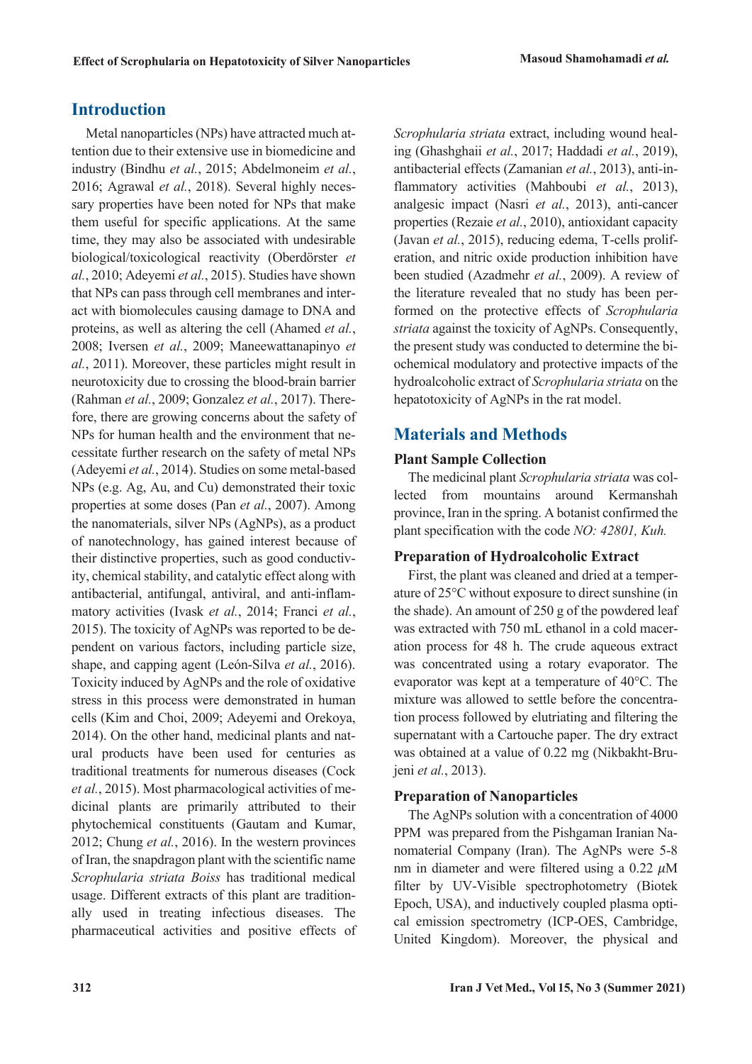# **Introduction**

Metal nanoparticles (NPs) have attracted much attention due to their extensive use in biomedicine and industry (Bindhu *et al.*, 2015; Abdelmoneim *et al.*, 2016; Agrawal *et al.*, 2018). Several highly necessary properties have been noted for NPs that make them useful for specific applications. At the same time, they may also be associated with undesirable biological/toxicological reactivity (Oberdörster *et al.*, 2010; Adeyemi *et al.*, 2015). Studies have shown that NPs can pass through cell membranes and interact with biomolecules causing damage to DNA and proteins, as well as altering the cell (Ahamed *et al.*, 2008; Iversen *et al.*, 2009; Maneewattanapinyo *et al.*, 2011). Moreover, these particles might result in neurotoxicity due to crossing the blood-brain barrier (Rahman *et al.*, 2009; Gonzalez *et al.*, 2017). Therefore, there are growing concerns about the safety of NPs for human health and the environment that necessitate further research on the safety of metal NPs (Adeyemi *et al.*, 2014). Studies on some metal-based NPs (e.g. Ag, Au, and Cu) demonstrated their toxic properties at some doses (Pan *et al.*, 2007). Among the nanomaterials, silver NPs (AgNPs), as a product of nanotechnology, has gained interest because of their distinctive properties, such as good conductivity, chemical stability, and catalytic effect along with antibacterial, antifungal, antiviral, and anti-inflammatory activities (Ivask *et al.*, 2014; Franci *et al.*, 2015). The toxicity of AgNPs was reported to be dependent on various factors, including particle size, shape, and capping agent (León-Silva *et al.*, 2016). Toxicity induced by AgNPs and the role of oxidative stress in this process were demonstrated in human cells (Kim and Choi, 2009; Adeyemi and Orekoya, 2014). On the other hand, medicinal plants and natural products have been used for centuries as traditional treatments for numerous diseases (Cock *et al.*, 2015). Most pharmacological activities of medicinal plants are primarily attributed to their phytochemical constituents (Gautam and Kumar, 2012; Chung *et al.*, 2016). In the western provinces of Iran, the snapdragon plant with the scientific name *Scrophularia striata Boiss* has traditional medical usage. Different extracts of this plant are traditionally used in treating infectious diseases. The pharmaceutical activities and positive effects of *Scrophularia striata* extract, including wound healing (Ghashghaii *et al.*, 2017; Haddadi *et al.*, 2019), antibacterial effects (Zamanian *et al.*, 2013), anti-inflammatory activities (Mahboubi *et al.*, 2013), analgesic impact (Nasri *et al.*, 2013), anti-cancer properties (Rezaie *et al.*, 2010), antioxidant capacity (Javan *et al.*, 2015), reducing edema, T-cells proliferation, and nitric oxide production inhibition have been studied (Azadmehr *et al.*, 2009). A review of the literature revealed that no study has been performed on the protective effects of *Scrophularia striata* against the toxicity of AgNPs. Consequently, the present study was conducted to determine the biochemical modulatory and protective impacts of the hydroalcoholic extract of *Scrophularia striata* on the hepatotoxicity of AgNPs in the rat model.

# **Materials and Methods**

## **Plant Sample Collection**

The medicinal plant *Scrophularia striata* was collected from mountains around Kermanshah province, Iran in the spring. A botanist confirmed the plant specification with the code *NO: 42801, Kuh.*

## **Preparation of Hydroalcoholic Extract**

First, the plant was cleaned and dried at a temperature of 25°C without exposure to direct sunshine (in the shade). An amount of 250 g of the powdered leaf was extracted with 750 mL ethanol in a cold maceration process for 48 h. The crude aqueous extract was concentrated using a rotary evaporator. The evaporator was kept at a temperature of 40°C. The mixture was allowed to settle before the concentration process followed by elutriating and filtering the supernatant with a Cartouche paper. The dry extract was obtained at a value of 0.22 mg (Nikbakht-Brujeni *et al.*, 2013).

## **Preparation of Nanoparticles**

The AgNPs solution with a concentration of 4000 PPM was prepared from the Pishgaman Iranian Nanomaterial Company (Iran). The AgNPs were 5-8 nm in diameter and were filtered using a  $0.22 \mu M$ filter by UV-Visible spectrophotometry (Biotek Epoch, USA), and inductively coupled plasma optical emission spectrometry (ICP-OES, Cambridge, United Kingdom). Moreover, the physical and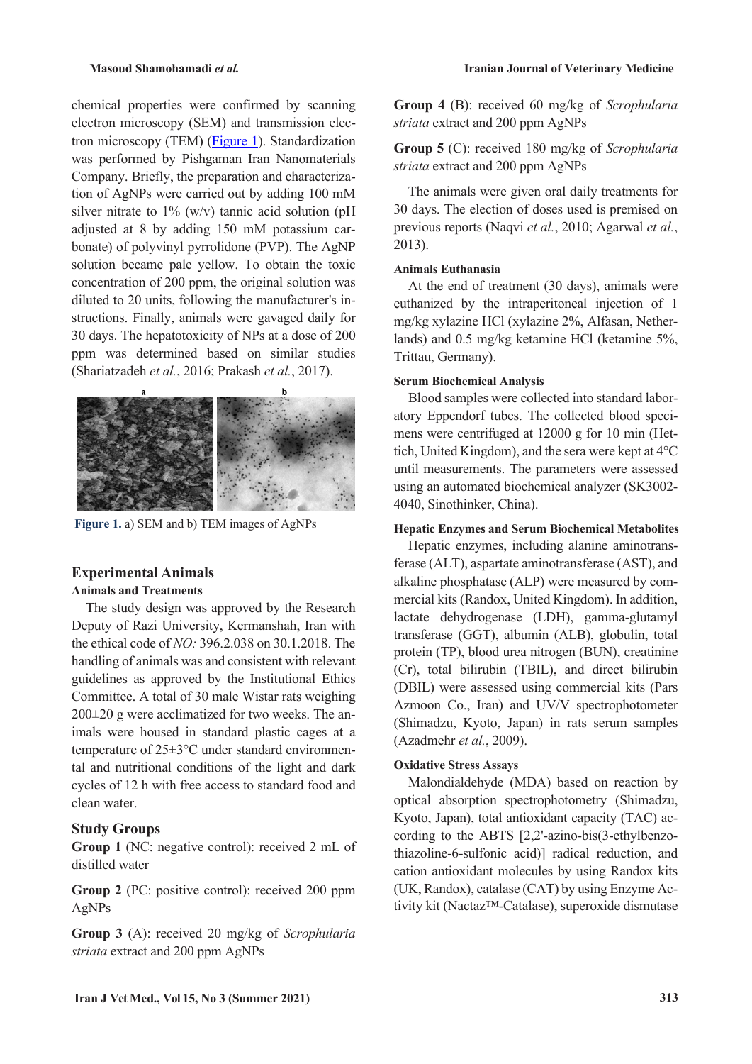chemical properties were confirmed by scanning electron microscopy (SEM) and transmission electron microscopy (TEM) [\(Figure 1\)](#page-2-0). Standardization was performed by Pishgaman Iran Nanomaterials Company. Briefly, the preparation and characterization of AgNPs were carried out by adding 100 mM silver nitrate to  $1\%$  (w/v) tannic acid solution (pH adjusted at 8 by adding 150 mM potassium carbonate) of polyvinyl pyrrolidone (PVP). The AgNP solution became pale yellow. To obtain the toxic concentration of 200 ppm, the original solution was diluted to 20 units, following the manufacturer's instructions. Finally, animals were gavaged daily for 30 days. The hepatotoxicity of NPs at a dose of 200 ppm was determined based on similar studies (Shariatzadeh *et al.*, 2016; Prakash *et al.*, 2017).



**Figure 1.** a) SEM and b) TEM images of AgNPs

## <span id="page-2-0"></span>**Experimental Animals**

### **Animals and Treatments**

The study design was approved by the Research Deputy of Razi University, Kermanshah, Iran with the ethical code of *NO:* 396.2.038 on 30.1.2018. The handling of animals was and consistent with relevant guidelines as approved by the Institutional Ethics Committee. A total of 30 male Wistar rats weighing 200±20 g were acclimatized for two weeks. The animals were housed in standard plastic cages at a temperature of 25±3°C under standard environmental and nutritional conditions of the light and dark cycles of 12 h with free access to standard food and clean water.

#### **Study Groups**

**Group 1** (NC: negative control): received 2 mL of distilled water

**Group 2** (PC: positive control): received 200 ppm AgNPs

**Group 3** (A): received 20 mg/kg of *Scrophularia striata* extract and 200 ppm AgNPs

**Group 4** (B): received 60 mg/kg of *Scrophularia striata* extract and 200 ppm AgNPs

**Group 5** (C): received 180 mg/kg of *Scrophularia striata* extract and 200 ppm AgNPs

The animals were given oral daily treatments for 30 days. The election of doses used is premised on previous reports (Naqvi *et al.*, 2010; Agarwal *et al.*, 2013).

### **Animals Euthanasia**

At the end of treatment (30 days), animals were euthanized by the intraperitoneal injection of 1 mg/kg xylazine HCl (xylazine 2%, Alfasan, Netherlands) and 0.5 mg/kg ketamine HCl (ketamine 5%, Trittau, Germany).

#### **Serum Biochemical Analysis**

Blood samples were collected into standard laboratory Eppendorf tubes. The collected blood specimens were centrifuged at 12000 g for 10 min (Hettich, United Kingdom), and the sera were kept at 4°C until measurements. The parameters were assessed using an automated biochemical analyzer (SK3002- 4040, Sinothinker, China).

### **Hepatic Enzymes and Serum Biochemical Metabolites**

Hepatic enzymes, including alanine aminotransferase (ALT), aspartate aminotransferase (AST), and alkaline phosphatase (ALP) were measured by commercial kits (Randox, United Kingdom). In addition, lactate dehydrogenase (LDH), gamma-glutamyl transferase (GGT), albumin (ALB), globulin, total protein (TP), blood urea nitrogen (BUN), creatinine (Cr), total bilirubin (TBIL), and direct bilirubin (DBIL) were assessed using commercial kits (Pars Azmoon Co., Iran) and UV/V spectrophotometer (Shimadzu, Kyoto, Japan) in rats serum samples (Azadmehr *et al.*, 2009).

#### **Oxidative Stress Assays**

Malondialdehyde (MDA) based on reaction by optical absorption spectrophotometry (Shimadzu, Kyoto, Japan), total antioxidant capacity (TAC) according to the ABTS [2,2'-azino-bis(3-ethylbenzothiazoline-6-sulfonic acid)] radical reduction, and cation antioxidant molecules by using Randox kits (UK, Randox), catalase (CAT) by using Enzyme Activity kit (Nactaz™-Catalase), superoxide dismutase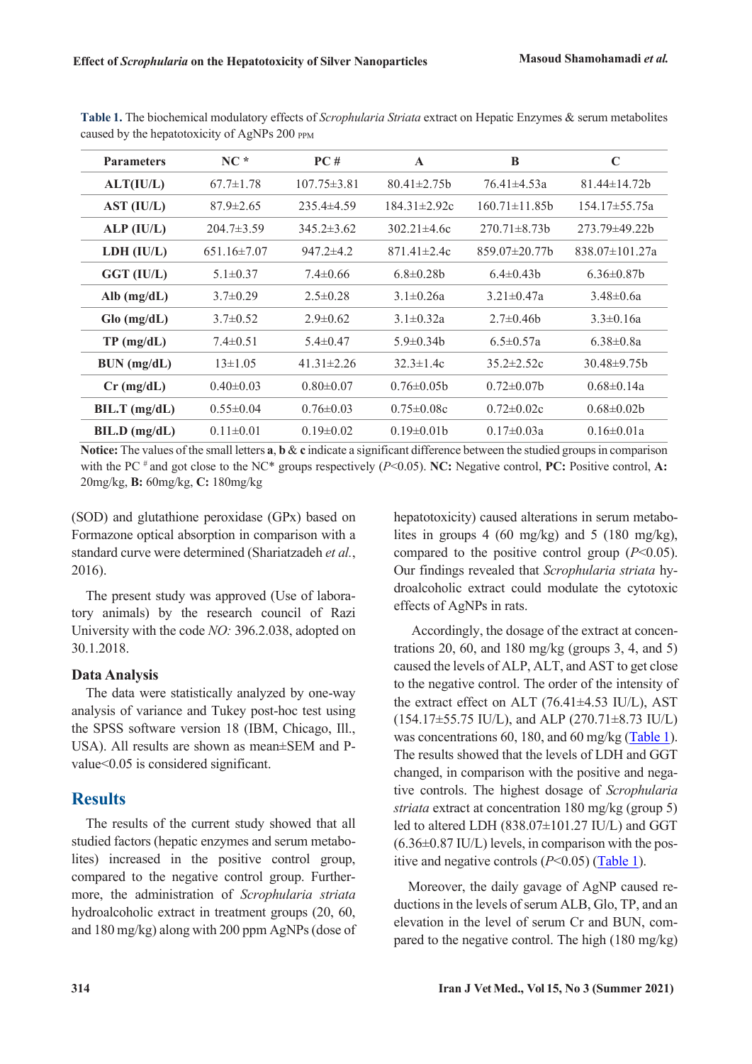| <b>Parameters</b> | $NC*$             | PC#               | $\mathbf{A}$       | B                    | $\mathbf C$          |
|-------------------|-------------------|-------------------|--------------------|----------------------|----------------------|
| ALT(IU/L)         | $67.7 \pm 1.78$   | $107.75 \pm 3.81$ | $80.41 \pm 2.75$   | $76.41 \pm 4.53a$    | $81.44 \pm 14.72 b$  |
| AST (IU/L)        | $87.9 \pm 2.65$   | $235.4\pm4.59$    | $184.31 \pm 2.92c$ | $160.71 \pm 11.85$   | $154.17\pm55.75a$    |
| ALP (IU/L)        | $204.7 \pm 3.59$  | $345.2 \pm 3.62$  | $302.21 \pm 4.6c$  | $270.71 \pm 8.73b$   | 273.79±49.22b        |
| LDH (IU/L)        | $651.16 \pm 7.07$ | $947.2 \pm 4.2$   | $871.41 \pm 2.4c$  | $859.07 \pm 20.77$ b | $838.07 \pm 101.27a$ |
| GGT (IU/L)        | $5.1 \pm 0.37$    | $7.4 \pm 0.66$    | $6.8 \pm 0.28$ b   | $6.4 \pm 0.43$       | $6.36\pm0.87$        |
| Alb $(mg/dL)$     | $3.7 \pm 0.29$    | $2.5 \pm 0.28$    | $3.1 \pm 0.26a$    | $3.21 \pm 0.47a$     | $3.48\pm0.6a$        |
| $Glo$ (mg/dL)     | $3.7 \pm 0.52$    | $2.9 \pm 0.62$    | $3.1 \pm 0.32a$    | $2.7 \pm 0.46$       | $3.3 \pm 0.16a$      |
| TP (mg/dL)        | $7.4 \pm 0.51$    | $5.4 \pm 0.47$    | $5.9 \pm 0.34 b$   | $6.5 \pm 0.57a$      | $6.38 \pm 0.8a$      |
| BUN (mg/dL)       | $13 \pm 1.05$     | $41.31 \pm 2.26$  | $32.3 \pm 1.4c$    | $35.2 \pm 2.52c$     | $30.48\pm9.75b$      |
| $Cr$ (mg/dL)      | $0.40 \pm 0.03$   | $0.80 \pm 0.07$   | $0.76 \pm 0.05$    | $0.72 \pm 0.07$      | $0.68 \pm 0.14a$     |
| $BIL.T$ (mg/dL)   | $0.55 \pm 0.04$   | $0.76 \pm 0.03$   | $0.75 \pm 0.08c$   | $0.72 \pm 0.02c$     | $0.68 \pm 0.02 b$    |
| BIL.D (mg/dL)     | $0.11 \pm 0.01$   | $0.19 \pm 0.02$   | $0.19 \pm 0.01 b$  | $0.17 \pm 0.03a$     | $0.16 \pm 0.01a$     |

<span id="page-3-0"></span>**Table 1.** The biochemical modulatory effects of *Scrophularia Striata* extract on Hepatic Enzymes & serum metabolites caused by the hepatotoxicity of AgNPs 200 PPM

**Notice:** The values of the small letters **a**, **b** & **c** indicate a significant difference between the studied groups in comparison with the PC  $^*$  and got close to the NC\* groups respectively ( $P<0.05$ ). **NC:** Negative control, **PC:** Positive control, **A:** 20mg/kg, **B:** 60mg/kg, **C:** 180mg/kg

(SOD) and glutathione peroxidase (GPx) based on Formazone optical absorption in comparison with a standard curve were determined (Shariatzadeh *et al.*, 2016).

The present study was approved (Use of laboratory animals) by the research council of Razi University with the code *NO:* 396.2.038, adopted on 30.1.2018.

## **Data Analysis**

The data were statistically analyzed by one-way analysis of variance and Tukey post-hoc test using the SPSS software version 18 (IBM, Chicago, Ill., USA). All results are shown as mean±SEM and Pvalue<0.05 is considered significant.

## **Results**

The results of the current study showed that all studied factors (hepatic enzymes and serum metabolites) increased in the positive control group, compared to the negative control group. Furthermore, the administration of *Scrophularia striata* hydroalcoholic extract in treatment groups (20, 60, and 180 mg/kg) along with 200 ppm AgNPs (dose of hepatotoxicity) caused alterations in serum metabolites in groups 4 (60 mg/kg) and 5 (180 mg/kg), compared to the positive control group (*P*<0.05). Our findings revealed that *Scrophularia striata* hydroalcoholic extract could modulate the cytotoxic effects of AgNPs in rats.

Accordingly, the dosage of the extract at concentrations 20, 60, and 180 mg/kg (groups 3, 4, and 5) caused the levels of ALP, ALT, and AST to get close to the negative control. The order of the intensity of the extract effect on ALT (76.41±4.53 IU/L), AST (154.17±55.75 IU/L), and ALP (270.71±8.73 IU/L) was concentrations 60, 180, and 60 mg/kg [\(Table 1\)](#page-3-0). The results showed that the levels of LDH and GGT changed, in comparison with the positive and negative controls. The highest dosage of *Scrophularia striata* extract at concentration 180 mg/kg (group 5) led to altered LDH (838.07±101.27 IU/L) and GGT  $(6.36\pm0.87 \text{ IU/L})$  levels, in comparison with the positive and negative controls  $(P<0.05)$  (**Table 1**).

Moreover, the daily gavage of AgNP caused reductions in the levels of serum ALB, Glo, TP, and an elevation in the level of serum Cr and BUN, compared to the negative control. The high (180 mg/kg)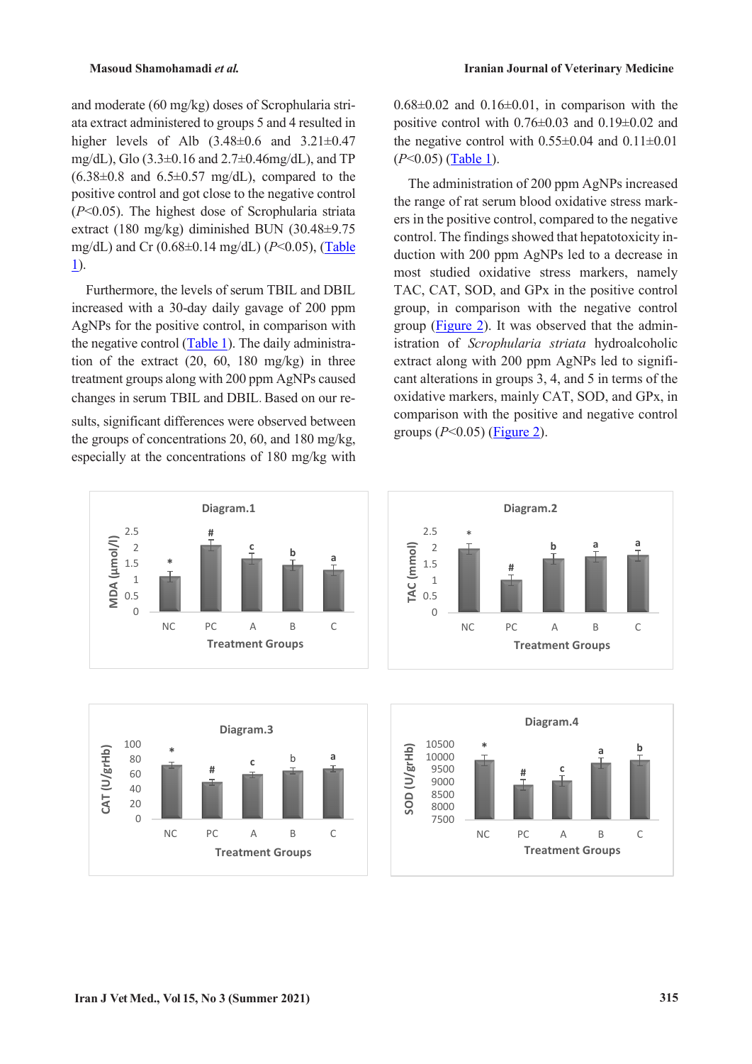and moderate (60 mg/kg) doses of Scrophularia striata extract administered to groups 5 and 4 resulted in higher levels of Alb  $(3.48\pm0.6 \text{ and } 3.21\pm0.47)$ mg/dL), Glo (3.3±0.16 and 2.7±0.46mg/dL), and TP  $(6.38\pm0.8$  and  $6.5\pm0.57$  mg/dL), compared to the positive control and got close to the negative control (*P*<0.05). The highest dose of Scrophularia striata extract (180 mg/kg) diminished BUN (30.48±9.75 mg/dL) and Cr (0.68±0.14 mg/dL) (*P*<0.05), [\(Table](#page-3-0)  [1\)](#page-3-0).

Furthermore, the levels of serum TBIL and DBIL increased with a 30-day daily gavage of 200 ppm AgNPs for the positive control, in comparison with the negative control [\(Table 1\)](#page-3-0). The daily administration of the extract (20, 60, 180 mg/kg) in three treatment groups along with 200 ppm AgNPs caused changes in serum TBIL and DBIL. Based on our re-

sults, significant differences were observed between the groups of concentrations 20, 60, and 180 mg/kg, especially at the concentrations of 180 mg/kg with





 $0.68\pm0.02$  and  $0.16\pm0.01$ , in comparison with the positive control with  $0.76 \pm 0.03$  and  $0.19 \pm 0.02$  and the negative control with  $0.55\pm0.04$  and  $0.11\pm0.01$ (*P*<0.05) (Table 1).

The administration of 200 ppm AgNPs increased the range of rat serum blood oxidative stress markers in the positive control, compared to the negative control. The findings showed that hepatotoxicity induction with 200 ppm AgNPs led to a decrease in most studied oxidative stress markers, namely TAC, CAT, SOD, and GPx in the positive control group, in comparison with the negative control group [\(Figure 2\)](#page-5-0). It was observed that the administration of *Scrophularia striata* hydroalcoholic extract along with 200 ppm AgNPs led to significant alterations in groups 3, 4, and 5 in terms of the oxidative markers, mainly CAT, SOD, and GPx, in comparison with the positive and negative control groups (*P*<0.05) [\(Figure 2\)](#page-5-0).



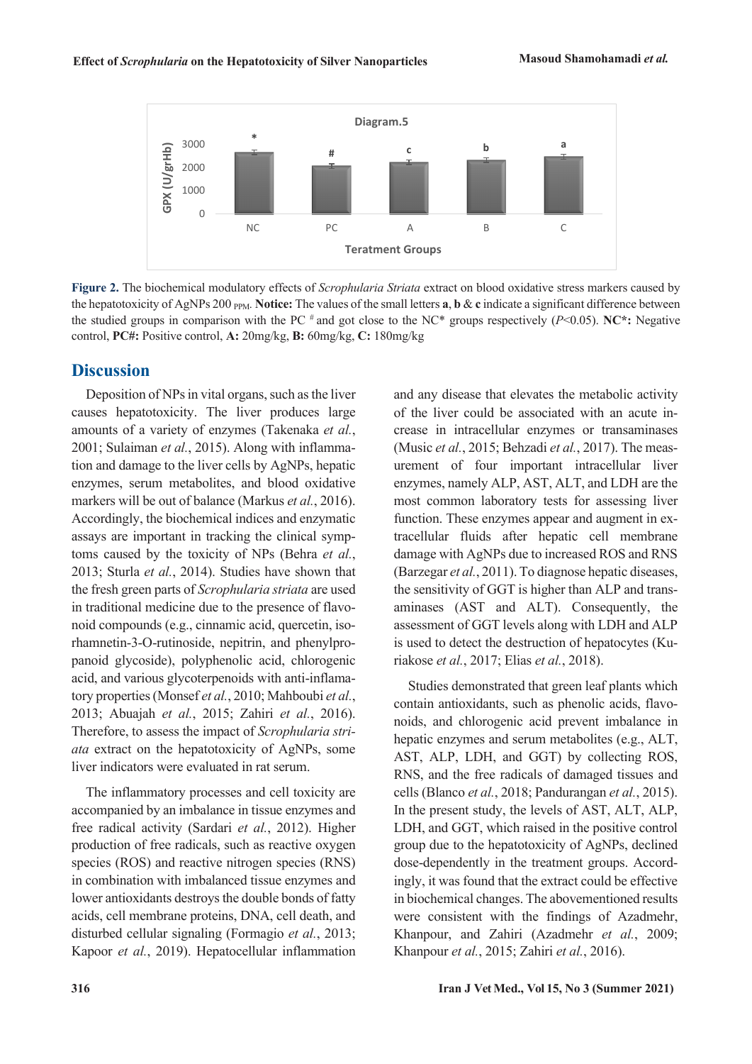

<span id="page-5-0"></span>**Figure 2.** The biochemical modulatory effects of *Scrophularia Striata* extract on blood oxidative stress markers caused by the hepatotoxicity of AgNPs 200  $_{PPM}$ . **Notice:** The values of the small letters **a**, **b** & **c** indicate a significant difference between the studied groups in comparison with the PC # and got close to the NC\* groups respectively (*P*<0.05). **NC\*:** Negative control, **PC#:** Positive control, **A:** 20mg/kg, **B:** 60mg/kg, **C:** 180mg/kg

## **Discussion**

Deposition of NPs in vital organs, such as the liver causes hepatotoxicity. The liver produces large amounts of a variety of enzymes (Takenaka *et al.*, 2001; Sulaiman *et al.*, 2015). Along with inflammation and damage to the liver cells by AgNPs, hepatic enzymes, serum metabolites, and blood oxidative markers will be out of balance (Markus *et al.*, 2016). Accordingly, the biochemical indices and enzymatic assays are important in tracking the clinical symptoms caused by the toxicity of NPs (Behra *et al.*, 2013; Sturla *et al.*, 2014). Studies have shown that the fresh green parts of *Scrophularia striata* are used in traditional medicine due to the presence of flavonoid compounds (e.g., cinnamic acid, quercetin, isorhamnetin-3-O-rutinoside, nepitrin, and phenylpropanoid glycoside), polyphenolic acid, chlorogenic acid, and various glycoterpenoids with anti-inflamatory properties (Monsef *et al.*, 2010; Mahboubi *et al.*, 2013; Abuajah *et al.*, 2015; Zahiri *et al.*, 2016). Therefore, to assess the impact of *Scrophularia striata* extract on the hepatotoxicity of AgNPs, some liver indicators were evaluated in rat serum.

The inflammatory processes and cell toxicity are accompanied by an imbalance in tissue enzymes and free radical activity (Sardari *et al.*, 2012). Higher production of free radicals, such as reactive oxygen species (ROS) and reactive nitrogen species (RNS) in combination with imbalanced tissue enzymes and lower antioxidants destroys the double bonds of fatty acids, cell membrane proteins, DNA, cell death, and disturbed cellular signaling (Formagio *et al.*, 2013; Kapoor *et al.*, 2019). Hepatocellular inflammation

and any disease that elevates the metabolic activity of the liver could be associated with an acute increase in intracellular enzymes or transaminases (Music *et al.*, 2015; Behzadi *et al.*, 2017). The measurement of four important intracellular liver enzymes, namely ALP, AST, ALT, and LDH are the most common laboratory tests for assessing liver function. These enzymes appear and augment in extracellular fluids after hepatic cell membrane damage with AgNPs due to increased ROS and RNS (Barzegar *et al.*, 2011). To diagnose hepatic diseases, the sensitivity of GGT is higher than ALP and transaminases (AST and ALT). Consequently, the assessment of GGT levels along with LDH and ALP is used to detect the destruction of hepatocytes (Kuriakose *et al.*, 2017; Elias *et al.*, 2018).

Studies demonstrated that green leaf plants which contain antioxidants, such as phenolic acids, flavonoids, and chlorogenic acid prevent imbalance in hepatic enzymes and serum metabolites (e.g., ALT, AST, ALP, LDH, and GGT) by collecting ROS, RNS, and the free radicals of damaged tissues and cells (Blanco *et al.*, 2018; Pandurangan *et al.*, 2015). In the present study, the levels of AST, ALT, ALP, LDH, and GGT, which raised in the positive control group due to the hepatotoxicity of AgNPs, declined dose-dependently in the treatment groups. Accordingly, it was found that the extract could be effective in biochemical changes. The abovementioned results were consistent with the findings of Azadmehr, Khanpour, and Zahiri (Azadmehr *et al.*, 2009; Khanpour *et al.*, 2015; Zahiri *et al.*, 2016).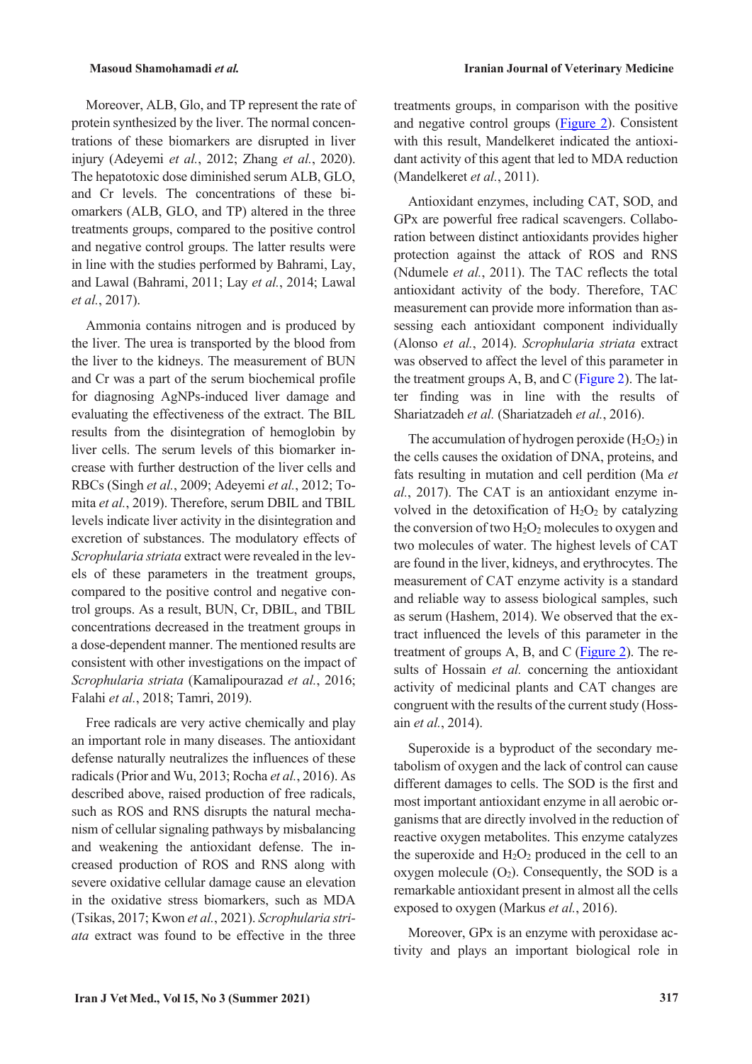Moreover, ALB, Glo, and TP represent the rate of protein synthesized by the liver. The normal concentrations of these biomarkers are disrupted in liver injury (Adeyemi *et al.*, 2012; Zhang *et al.*, 2020). The hepatotoxic dose diminished serum ALB, GLO, and Cr levels. The concentrations of these biomarkers (ALB, GLO, and TP) altered in the three treatments groups, compared to the positive control and negative control groups. The latter results were in line with the studies performed by Bahrami, Lay, and Lawal (Bahrami, 2011; Lay *et al.*, 2014; Lawal *et al.*, 2017).

Ammonia contains nitrogen and is produced by the liver. The urea is transported by the blood from the liver to the kidneys. The measurement of BUN and Cr was a part of the serum biochemical profile for diagnosing AgNPs-induced liver damage and evaluating the effectiveness of the extract. The BIL results from the disintegration of hemoglobin by liver cells. The serum levels of this biomarker increase with further destruction of the liver cells and RBCs (Singh *et al.*, 2009; Adeyemi *et al.*, 2012; Tomita *et al.*, 2019). Therefore, serum DBIL and TBIL levels indicate liver activity in the disintegration and excretion of substances. The modulatory effects of *Scrophularia striata* extract were revealed in the levels of these parameters in the treatment groups, compared to the positive control and negative control groups. As a result, BUN, Cr, DBIL, and TBIL concentrations decreased in the treatment groups in a dose-dependent manner. The mentioned results are consistent with other investigations on the impact of *Scrophularia striata* (Kamalipourazad *et al.*, 2016; Falahi *et al.*, 2018; Tamri, 2019).

Free radicals are very active chemically and play an important role in many diseases. The antioxidant defense naturally neutralizes the influences of these radicals (Prior and Wu, 2013; Rocha *et al.*, 2016). As described above, raised production of free radicals, such as ROS and RNS disrupts the natural mechanism of cellular signaling pathways by misbalancing and weakening the antioxidant defense. The increased production of ROS and RNS along with severe oxidative cellular damage cause an elevation in the oxidative stress biomarkers, such as MDA (Tsikas, 2017; Kwon *et al.*, 2021). *Scrophularia striata* extract was found to be effective in the three treatments groups, in comparison with the positive and negative control groups [\(Figure 2\)](#page-5-0). Consistent with this result, Mandelkeret indicated the antioxidant activity of this agent that led to MDA reduction (Mandelkeret *et al.*, 2011).

Antioxidant enzymes, including CAT, SOD, and GPx are powerful free radical scavengers. Collaboration between distinct antioxidants provides higher protection against the attack of ROS and RNS (Ndumele *et al.*, 2011). The TAC reflects the total antioxidant activity of the body. Therefore, TAC measurement can provide more information than assessing each antioxidant component individually (Alonso *et al.*, 2014). *Scrophularia striata* extract was observed to affect the level of this parameter in the treatment groups A, B, and C [\(Figure 2\)](#page-5-0). The latter finding was in line with the results of Shariatzadeh *et al.* (Shariatzadeh *et al.*, 2016).

The accumulation of hydrogen peroxide  $(H_2O_2)$  in the cells causes the oxidation of DNA, proteins, and fats resulting in mutation and cell perdition (Ma *et al.*, 2017). The CAT is an antioxidant enzyme involved in the detoxification of  $H_2O_2$  by catalyzing the conversion of two  $H_2O_2$  molecules to oxygen and two molecules of water. The highest levels of CAT are found in the liver, kidneys, and erythrocytes. The measurement of CAT enzyme activity is a standard and reliable way to assess biological samples, such as serum (Hashem, 2014). We observed that the extract influenced the levels of this parameter in the treatment of groups  $A$ ,  $B$ , and  $C$  [\(Figure 2\)](#page-5-0). The results of Hossain *et al.* concerning the antioxidant activity of medicinal plants and CAT changes are congruent with the results of the current study (Hossain *et al.*, 2014).

Superoxide is a byproduct of the secondary metabolism of oxygen and the lack of control can cause different damages to cells. The SOD is the first and most important antioxidant enzyme in all aerobic organisms that are directly involved in the reduction of reactive oxygen metabolites. This enzyme catalyzes the superoxide and  $H_2O_2$  produced in the cell to an oxygen molecule  $(O_2)$ . Consequently, the SOD is a remarkable antioxidant present in almost all the cells exposed to oxygen (Markus *et al.*, 2016).

Moreover, GPx is an enzyme with peroxidase activity and plays an important biological role in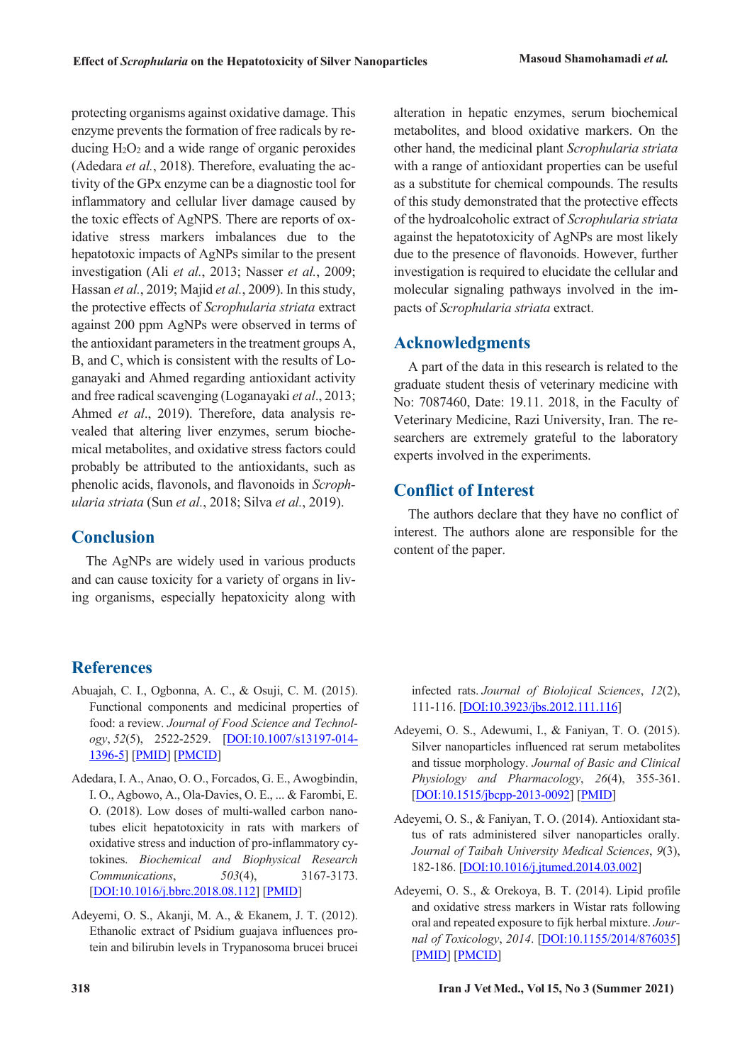protecting organisms against oxidative damage. This enzyme prevents the formation of free radicals by reducing  $H_2O_2$  and a wide range of organic peroxides (Adedara *et al.*, 2018). Therefore, evaluating the activity of the GPx enzyme can be a diagnostic tool for inflammatory and cellular liver damage caused by the toxic effects of AgNPS. There are reports of oxidative stress markers imbalances due to the hepatotoxic impacts of AgNPs similar to the present investigation (Ali *et al.*, 2013; Nasser *et al.*, 2009; Hassan *et al.*, 2019; Majid *et al.*, 2009). In this study, the protective effects of *Scrophularia striata* extract against 200 ppm AgNPs were observed in terms of the antioxidant parameters in the treatment groups A, B, and C, which is consistent with the results of Loganayaki and Ahmed regarding antioxidant activity and free radical scavenging (Loganayaki *et al*., 2013; Ahmed *et al*., 2019). Therefore, data analysis revealed that altering liver enzymes, serum biochemical metabolites, and oxidative stress factors could probably be attributed to the antioxidants, such as phenolic acids, flavonols, and flavonoids in *Scrophularia striata* (Sun *et al.*, 2018; Silva *et al.*, 2019).

# **Conclusion**

The AgNPs are widely used in various products and can cause toxicity for a variety of organs in living organisms, especially hepatoxicity along with

alteration in hepatic enzymes, serum biochemical metabolites, and blood oxidative markers. On the other hand, the medicinal plant *Scrophularia striata* with a range of antioxidant properties can be useful as a substitute for chemical compounds. The results of this study demonstrated that the protective effects of the hydroalcoholic extract of *Scrophularia striata* against the hepatotoxicity of AgNPs are most likely due to the presence of flavonoids. However, further investigation is required to elucidate the cellular and molecular signaling pathways involved in the impacts of *Scrophularia striata* extract.

# **Acknowledgments**

A part of the data in this research is related to the graduate student thesis of veterinary medicine with No: 7087460, Date: 19.11. 2018, in the Faculty of Veterinary Medicine, Razi University, Iran. The researchers are extremely grateful to the laboratory experts involved in the experiments.

# **Conflict of Interest**

The authors declare that they have no conflict of interest. The authors alone are responsible for the content of the paper.

# **References**

- Abuajah, C. I., Ogbonna, A. C., & Osuji, C. M. (2015). Functional components and medicinal properties of food: a review. *Journal of Food Science and Technology*, *52*(5), 2522-2529. [DOI:10.1007/s13197-014- 1396-5] [PMID] [PMCID]
- Adedara, I. A., Anao, O. O., Forcados, G. E., Awogbindin, I. O., Agbowo, A., Ola-Davies, O. E., ... & Farombi, E. O. (2018). Low doses of multi-walled carbon nanotubes elicit hepatotoxicity in rats with markers of oxidative stress and induction of pro-inflammatory cytokines. *Biochemical and Biophysical Research Communications*, *503*(4), 3167-3173. [DOI:10.1016/j.bbrc.2018.08.112] [PMID]
- Adeyemi, O. S., Akanji, M. A., & Ekanem, J. T. (2012). Ethanolic extract of Psidium guajava influences protein and bilirubin levels in Trypanosoma brucei brucei

infected rats. *Journal of Biolojical Sciences*, *12*(2), 111-116. [DOI:10.3923/jbs.2012.111.116]

- Adeyemi, O. S., Adewumi, I., & Faniyan, T. O. (2015). Silver nanoparticles influenced rat serum metabolites and tissue morphology. *Journal of Basic and Clinical Physiology and Pharmacology*, *26*(4), 355-361. [DOI:10.1515/jbcpp-2013-0092] [PMID]
- Adeyemi, O. S., & Faniyan, T. O. (2014). Antioxidant status of rats administered silver nanoparticles orally. *Journal of Taibah University Medical Sciences*, *9*(3), 182-186. [DOI:10.1016/j.jtumed.2014.03.002]
- Adeyemi, O. S., & Orekoya, B. T. (2014). Lipid profile and oxidative stress markers in Wistar rats following oral and repeated exposure to fijk herbal mixture. *Journal of Toxicology*, *2014*. [DOI:10.1155/2014/876035] [PMID] [PMCID]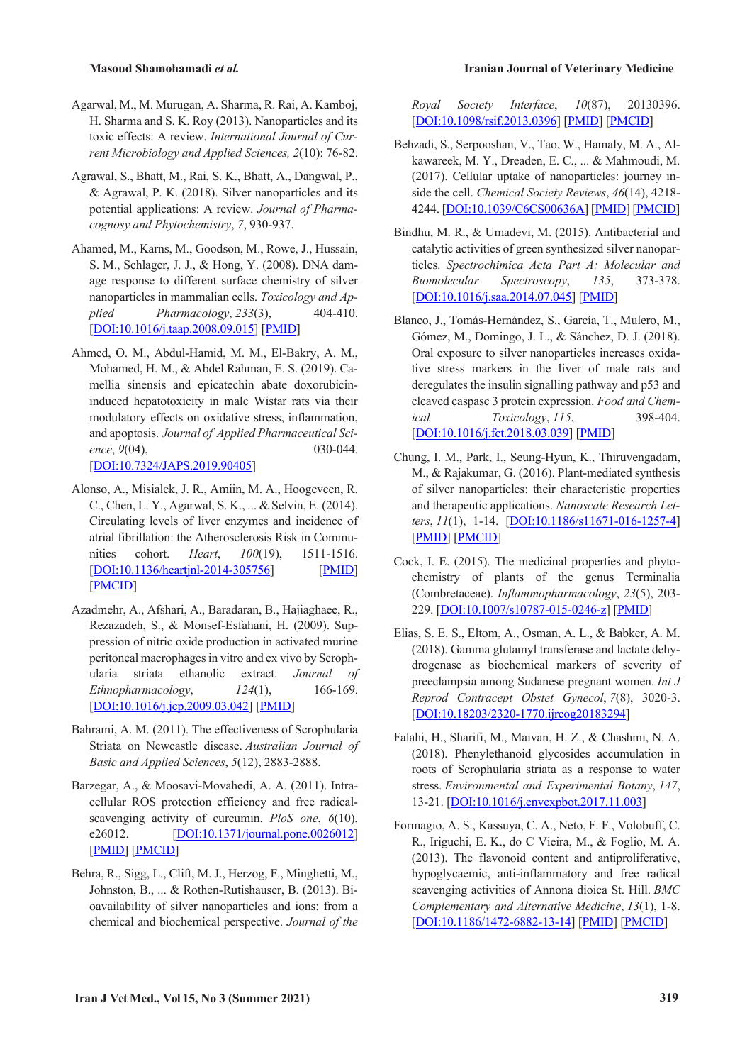- Agarwal, M., M. Murugan, A. Sharma, R. Rai, A. Kamboj, H. Sharma and S. K. Roy (2013). Nanoparticles and its toxic effects: A review. *International Journal of Current Microbiology and Applied Sciences, 2*(10): 76-82.
- Agrawal, S., Bhatt, M., Rai, S. K., Bhatt, A., Dangwal, P., & Agrawal, P. K. (2018). Silver nanoparticles and its potential applications: A review. *Journal of Pharmacognosy and Phytochemistry*, *7*, 930-937.
- Ahamed, M., Karns, M., Goodson, M., Rowe, J., Hussain, S. M., Schlager, J. J., & Hong, Y. (2008). DNA damage response to different surface chemistry of silver nanoparticles in mammalian cells. *Toxicology and Applied Pharmacology*, *233*(3), 404-410. [DOI:10.1016/j.taap.2008.09.015] [PMID]
- Ahmed, O. M., Abdul-Hamid, M. M., El-Bakry, A. M., Mohamed, H. M., & Abdel Rahman, E. S. (2019). Camellia sinensis and epicatechin abate doxorubicininduced hepatotoxicity in male Wistar rats via their modulatory effects on oxidative stress, inflammation, and apoptosis. *Journal of Applied Pharmaceutical Science*, 9(04), 030-044. [DOI:10.7324/JAPS.2019.90405]
- Alonso, A., Misialek, J. R., Amiin, M. A., Hoogeveen, R. C., Chen, L. Y., Agarwal, S. K., ... & Selvin, E. (2014). Circulating levels of liver enzymes and incidence of atrial fibrillation: the Atherosclerosis Risk in Communities cohort. *Heart*, *100*(19), 1511-1516. [DOI:10.1136/heartjnl-2014-305756] [PMID] [PMCID]
- Azadmehr, A., Afshari, A., Baradaran, B., Hajiaghaee, R., Rezazadeh, S., & Monsef-Esfahani, H. (2009). Suppression of nitric oxide production in activated murine peritoneal macrophages in vitro and ex vivo by Scrophularia striata ethanolic extract. *Journal of Ethnopharmacology*, *124*(1), 166-169. [DOI:10.1016/j.jep.2009.03.042] [PMID]
- Bahrami, A. M. (2011). The effectiveness of Scrophularia Striata on Newcastle disease. *Australian Journal of Basic and Applied Sciences*, *5*(12), 2883-2888.
- Barzegar, A., & Moosavi-Movahedi, A. A. (2011). Intracellular ROS protection efficiency and free radicalscavenging activity of curcumin. *PloS one*, *6*(10), e26012. **[DOI:10.1371/journal.pone.0026012]** [PMID] [PMCID]
- Behra, R., Sigg, L., Clift, M. J., Herzog, F., Minghetti, M., Johnston, B., ... & Rothen-Rutishauser, B. (2013). Bioavailability of silver nanoparticles and ions: from a chemical and biochemical perspective. *Journal of the*

#### **Masoud Shamohamadi** *et al.* **Iranian Journal of Veterinary Medicine**

*Royal Society Interface*, *10*(87), 20130396. [DOI:10.1098/rsif.2013.0396] [PMID] [PMCID]

- Behzadi, S., Serpooshan, V., Tao, W., Hamaly, M. A., Alkawareek, M. Y., Dreaden, E. C., ... & Mahmoudi, M. (2017). Cellular uptake of nanoparticles: journey inside the cell. *Chemical Society Reviews*, *46*(14), 4218- 4244. [DOI:10.1039/C6CS00636A] [PMID] [PMCID]
- Bindhu, M. R., & Umadevi, M. (2015). Antibacterial and catalytic activities of green synthesized silver nanoparticles. *Spectrochimica Acta Part A: Molecular and Biomolecular Spectroscopy*, *135*, 373-378. [DOI:10.1016/j.saa.2014.07.045] [PMID]
- Blanco, J., Tomás-Hernández, S., García, T., Mulero, M., Gómez, M., Domingo, J. L., & Sánchez, D. J. (2018). Oral exposure to silver nanoparticles increases oxidative stress markers in the liver of male rats and deregulates the insulin signalling pathway and p53 and cleaved caspase 3 protein expression. *Food and Chemical Toxicology*, *115*, 398-404. [DOI:10.1016/j.fct.2018.03.039] [PMID]
- Chung, I. M., Park, I., Seung-Hyun, K., Thiruvengadam, M., & Rajakumar, G. (2016). Plant-mediated synthesis of silver nanoparticles: their characteristic properties and therapeutic applications. *Nanoscale Research Letters*, *11*(1), 1-14. [DOI:10.1186/s11671-016-1257-4] [PMID] [PMCID]
- Cock, I. E. (2015). The medicinal properties and phytochemistry of plants of the genus Terminalia (Combretaceae). *Inflammopharmacology*, *23*(5), 203- 229. [DOI:10.1007/s10787-015-0246-z] [PMID]
- Elias, S. E. S., Eltom, A., Osman, A. L., & Babker, A. M. (2018). Gamma glutamyl transferase and lactate dehydrogenase as biochemical markers of severity of preeclampsia among Sudanese pregnant women. *Int J Reprod Contracept Obstet Gynecol*, *7*(8), 3020-3. [DOI:10.18203/2320-1770.ijrcog20183294]
- Falahi, H., Sharifi, M., Maivan, H. Z., & Chashmi, N. A. (2018). Phenylethanoid glycosides accumulation in roots of Scrophularia striata as a response to water stress. *Environmental and Experimental Botany*, *147*, 13-21. [DOI:10.1016/j.envexpbot.2017.11.003]
- Formagio, A. S., Kassuya, C. A., Neto, F. F., Volobuff, C. R., Iriguchi, E. K., do C Vieira, M., & Foglio, M. A. (2013). The flavonoid content and antiproliferative, hypoglycaemic, anti-inflammatory and free radical scavenging activities of Annona dioica St. Hill. *BMC Complementary and Alternative Medicine*, *13*(1), 1-8. [DOI:10.1186/1472-6882-13-14] [PMID] [PMCID]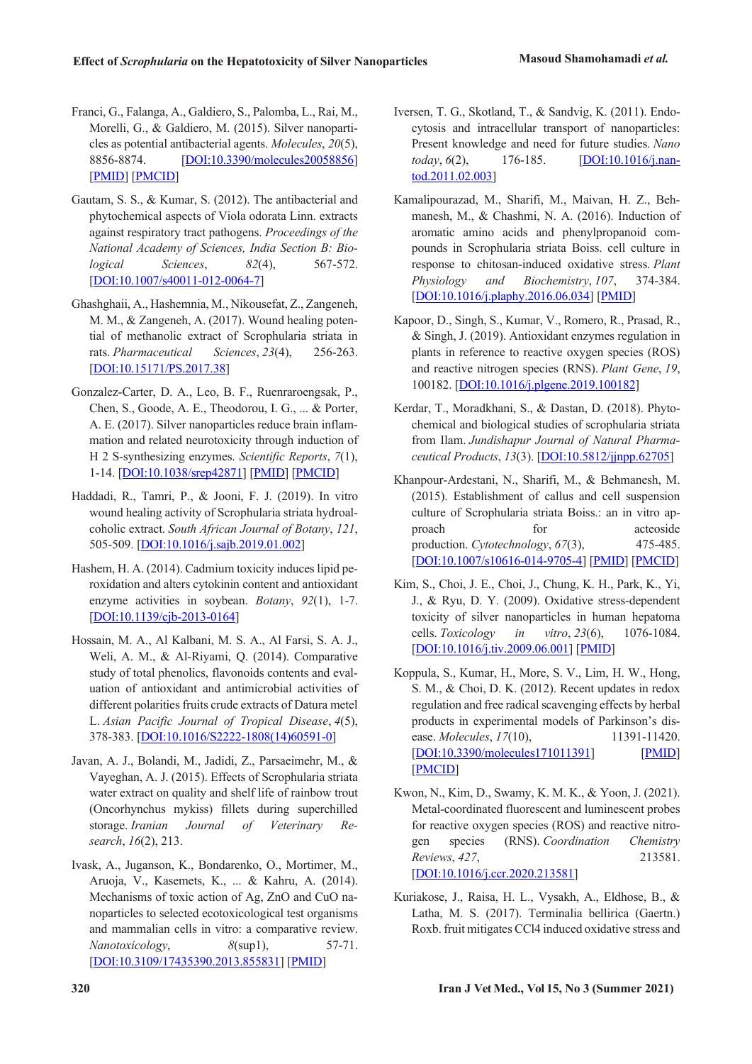- Franci, G., Falanga, A., Galdiero, S., Palomba, L., Rai, M., Morelli, G., & Galdiero, M. (2015). Silver nanoparticles as potential antibacterial agents. *Molecules*, *20*(5), 8856-8874. [DOI:10.3390/molecules20058856] [PMID] [PMCID]
- Gautam, S. S., & Kumar, S. (2012). The antibacterial and phytochemical aspects of Viola odorata Linn. extracts against respiratory tract pathogens. *Proceedings of the National Academy of Sciences, India Section B: Biological Sciences*, *82*(4), 567-572. [DOI:10.1007/s40011-012-0064-7]
- Ghashghaii, A., Hashemnia, M., Nikousefat, Z., Zangeneh, M. M., & Zangeneh, A. (2017). Wound healing potential of methanolic extract of Scrophularia striata in rats. *Pharmaceutical Sciences*, *23*(4), 256-263. [DOI:10.15171/PS.2017.38]
- Gonzalez-Carter, D. A., Leo, B. F., Ruenraroengsak, P., Chen, S., Goode, A. E., Theodorou, I. G., ... & Porter, A. E. (2017). Silver nanoparticles reduce brain inflammation and related neurotoxicity through induction of H 2 S-synthesizing enzymes. *Scientific Reports*, *7*(1), 1-14. [DOI:10.1038/srep42871] [PMID] [PMCID]
- Haddadi, R., Tamri, P., & Jooni, F. J. (2019). In vitro wound healing activity of Scrophularia striata hydroalcoholic extract. *South African Journal of Botany*, *121*, 505-509. [DOI:10.1016/j.sajb.2019.01.002]
- Hashem, H. A. (2014). Cadmium toxicity induces lipid peroxidation and alters cytokinin content and antioxidant enzyme activities in soybean. *Botany*, *92*(1), 1-7. [DOI:10.1139/cjb-2013-0164]
- Hossain, M. A., Al Kalbani, M. S. A., Al Farsi, S. A. J., Weli, A. M., & Al-Riyami, Q. (2014). Comparative study of total phenolics, flavonoids contents and evaluation of antioxidant and antimicrobial activities of different polarities fruits crude extracts of Datura metel L. *Asian Pacific Journal of Tropical Disease*, *4*(5), 378-383. [DOI:10.1016/S2222-1808(14)60591-0]
- Javan, A. J., Bolandi, M., Jadidi, Z., Parsaeimehr, M., & Vayeghan, A. J. (2015). Effects of Scrophularia striata water extract on quality and shelf life of rainbow trout (Oncorhynchus mykiss) fillets during superchilled storage. *Iranian Journal of Veterinary Research*, *16*(2), 213.
- Ivask, A., Juganson, K., Bondarenko, O., Mortimer, M., Aruoja, V., Kasemets, K., ... & Kahru, A. (2014). Mechanisms of toxic action of Ag, ZnO and CuO nanoparticles to selected ecotoxicological test organisms and mammalian cells in vitro: a comparative review. *Nanotoxicology*, *8*(sup1), 57-71. [DOI:10.3109/17435390.2013.855831] [PMID]
- Iversen, T. G., Skotland, T., & Sandvig, K. (2011). Endocytosis and intracellular transport of nanoparticles: Present knowledge and need for future studies. *Nano today*, *6*(2), 176-185. [DOI:10.1016/j.nantod.2011.02.003]
- Kamalipourazad, M., Sharifi, M., Maivan, H. Z., Behmanesh, M., & Chashmi, N. A. (2016). Induction of aromatic amino acids and phenylpropanoid compounds in Scrophularia striata Boiss. cell culture in response to chitosan-induced oxidative stress. *Plant Physiology and Biochemistry*, *107*, 374-384. [DOI:10.1016/j.plaphy.2016.06.034] [PMID]
- Kapoor, D., Singh, S., Kumar, V., Romero, R., Prasad, R., & Singh, J. (2019). Antioxidant enzymes regulation in plants in reference to reactive oxygen species (ROS) and reactive nitrogen species (RNS). *Plant Gene*, *19*, 100182. [DOI:10.1016/j.plgene.2019.100182]
- Kerdar, T., Moradkhani, S., & Dastan, D. (2018). Phytochemical and biological studies of scrophularia striata from Ilam. *Jundishapur Journal of Natural Pharmaceutical Products*, *13*(3). [DOI:10.5812/jjnpp.62705]
- Khanpour-Ardestani, N., Sharifi, M., & Behmanesh, M. (2015). Establishment of callus and cell suspension culture of Scrophularia striata Boiss.: an in vitro approach for acteoside production. *Cytotechnology*,  $67(3)$ , 475-485. [DOI:10.1007/s10616-014-9705-4] [PMID] [PMCID]
- Kim, S., Choi, J. E., Choi, J., Chung, K. H., Park, K., Yi, J., & Ryu, D. Y. (2009). Oxidative stress-dependent toxicity of silver nanoparticles in human hepatoma cells. *Toxicology in vitro*, *23*(6), 1076-1084. [DOI:10.1016/j.tiv.2009.06.001] [PMID]
- Koppula, S., Kumar, H., More, S. V., Lim, H. W., Hong, S. M., & Choi, D. K. (2012). Recent updates in redox regulation and free radical scavenging effects by herbal products in experimental models of Parkinson's disease. *Molecules*, 17(10), 11391-11420. [DOI:10.3390/molecules171011391] [PMID] [PMCID]
- Kwon, N., Kim, D., Swamy, K. M. K., & Yoon, J. (2021). Metal-coordinated fluorescent and luminescent probes for reactive oxygen species (ROS) and reactive nitrogen species (RNS). *Coordination Chemistry Reviews*, *427*, 213581. [DOI:10.1016/j.ccr.2020.213581]
- Kuriakose, J., Raisa, H. L., Vysakh, A., Eldhose, B., & Latha, M. S. (2017). Terminalia bellirica (Gaertn.) Roxb. fruit mitigates CCl4 induced oxidative stress and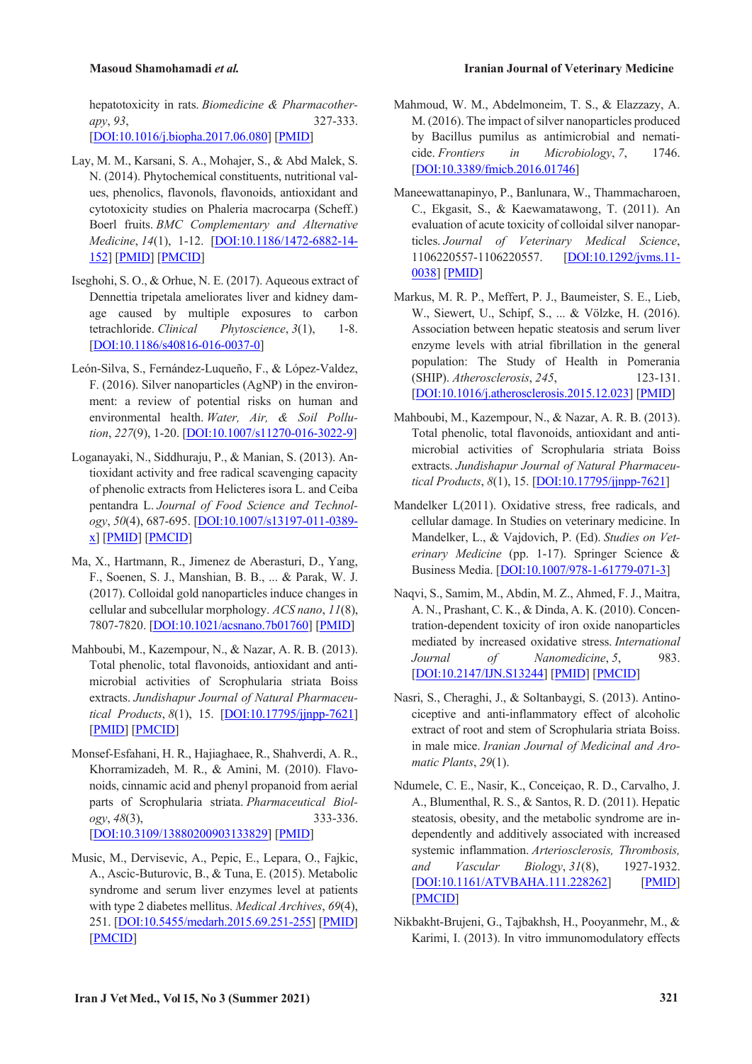hepatotoxicity in rats. *Biomedicine & Pharmacotherapy*, *93*, 327-333. [DOI:10.1016/j.biopha.2017.06.080] [PMID]

- Lay, M. M., Karsani, S. A., Mohajer, S., & Abd Malek, S. N. (2014). Phytochemical constituents, nutritional values, phenolics, flavonols, flavonoids, antioxidant and cytotoxicity studies on Phaleria macrocarpa (Scheff.) Boerl fruits. *BMC Complementary and Alternative Medicine*, *14*(1), 1-12. [DOI:10.1186/1472-6882-14- 152] [PMID] [PMCID]
- Iseghohi, S. O., & Orhue, N. E. (2017). Aqueous extract of Dennettia tripetala ameliorates liver and kidney damage caused by multiple exposures to carbon tetrachloride. *Clinical Phytoscience*, *3*(1), 1-8. [DOI:10.1186/s40816-016-0037-0]
- León-Silva, S., Fernández-Luqueño, F., & López-Valdez, F. (2016). Silver nanoparticles (AgNP) in the environment: a review of potential risks on human and environmental health. *Water, Air, & Soil Pollution*, *227*(9), 1-20. [DOI:10.1007/s11270-016-3022-9]
- Loganayaki, N., Siddhuraju, P., & Manian, S. (2013). Antioxidant activity and free radical scavenging capacity of phenolic extracts from Helicteres isora L. and Ceiba pentandra L. *Journal of Food Science and Technology*, *50*(4), 687-695. [DOI:10.1007/s13197-011-0389 x] [PMID] [PMCID]
- Ma, X., Hartmann, R., Jimenez de Aberasturi, D., Yang, F., Soenen, S. J., Manshian, B. B., ... & Parak, W. J. (2017). Colloidal gold nanoparticles induce changes in cellular and subcellular morphology. *ACS nano*, *11*(8), 7807-7820. [DOI:10.1021/acsnano.7b01760] [PMID]
- Mahboubi, M., Kazempour, N., & Nazar, A. R. B. (2013). Total phenolic, total flavonoids, antioxidant and antimicrobial activities of Scrophularia striata Boiss extracts. *Jundishapur Journal of Natural Pharmaceutical Products*, *8*(1), 15. [DOI:10.17795/jjnpp-7621] [PMID] [PMCID]
- Monsef-Esfahani, H. R., Hajiaghaee, R., Shahverdi, A. R., Khorramizadeh, M. R., & Amini, M. (2010). Flavonoids, cinnamic acid and phenyl propanoid from aerial parts of Scrophularia striata. *Pharmaceutical Biology*, *48*(3), 333-336. [DOI:10.3109/13880200903133829] [PMID]
- Music, M., Dervisevic, A., Pepic, E., Lepara, O., Fajkic, A., Ascic-Buturovic, B., & Tuna, E. (2015). Metabolic syndrome and serum liver enzymes level at patients with type 2 diabetes mellitus. *Medical Archives*, *69*(4), 251. [DOI:10.5455/medarh.2015.69.251-255] [PMID] [PMCID]
- Mahmoud, W. M., Abdelmoneim, T. S., & Elazzazy, A. M. (2016). The impact of silver nanoparticles produced by Bacillus pumilus as antimicrobial and nematicide. *Frontiers in Microbiology*, *7*, 1746. [DOI:10.3389/fmicb.2016.01746]
- Maneewattanapinyo, P., Banlunara, W., Thammacharoen, C., Ekgasit, S., & Kaewamatawong, T. (2011). An evaluation of acute toxicity of colloidal silver nanoparticles. *Journal of Veterinary Medical Science*, 1106220557-1106220557. [DOI:10.1292/jvms.11- 0038] [PMID]
- Markus, M. R. P., Meffert, P. J., Baumeister, S. E., Lieb, W., Siewert, U., Schipf, S., ... & Völzke, H. (2016). Association between hepatic steatosis and serum liver enzyme levels with atrial fibrillation in the general population: The Study of Health in Pomerania (SHIP). *Atherosclerosis*, *245*, 123-131. [DOI:10.1016/j.atherosclerosis.2015.12.023] [PMID]
- Mahboubi, M., Kazempour, N., & Nazar, A. R. B. (2013). Total phenolic, total flavonoids, antioxidant and antimicrobial activities of Scrophularia striata Boiss extracts. *Jundishapur Journal of Natural Pharmaceutical Products*, *8*(1), 15. [DOI:10.17795/jjnpp-7621]
- Mandelker L(2011). Oxidative stress, free radicals, and cellular damage. In Studies on veterinary medicine. In Mandelker, L., & Vajdovich, P. (Ed). *Studies on Veterinary Medicine* (pp. 1-17). Springer Science & Business Media. [DOI:10.1007/978-1-61779-071-3]
- Naqvi, S., Samim, M., Abdin, M. Z., Ahmed, F. J., Maitra, A. N., Prashant, C. K., & Dinda, A. K. (2010). Concentration-dependent toxicity of iron oxide nanoparticles mediated by increased oxidative stress. *International Journal of Nanomedicine*, *5*, 983. [DOI:10.2147/IJN.S13244] [PMID] [PMCID]
- Nasri, S., Cheraghi, J., & Soltanbaygi, S. (2013). Antinociceptive and anti-inflammatory effect of alcoholic extract of root and stem of Scrophularia striata Boiss. in male mice. *Iranian Journal of Medicinal and Aromatic Plants*, *29*(1).
- Ndumele, C. E., Nasir, K., Conceiçao, R. D., Carvalho, J. A., Blumenthal, R. S., & Santos, R. D. (2011). Hepatic steatosis, obesity, and the metabolic syndrome are independently and additively associated with increased systemic inflammation. *Arteriosclerosis, Thrombosis, and Vascular Biology*, *31*(8), 1927-1932. [DOI:10.1161/ATVBAHA.111.228262] [PMID] [PMCID]
- Nikbakht-Brujeni, G., Tajbakhsh, H., Pooyanmehr, M., & Karimi, I. (2013). In vitro immunomodulatory effects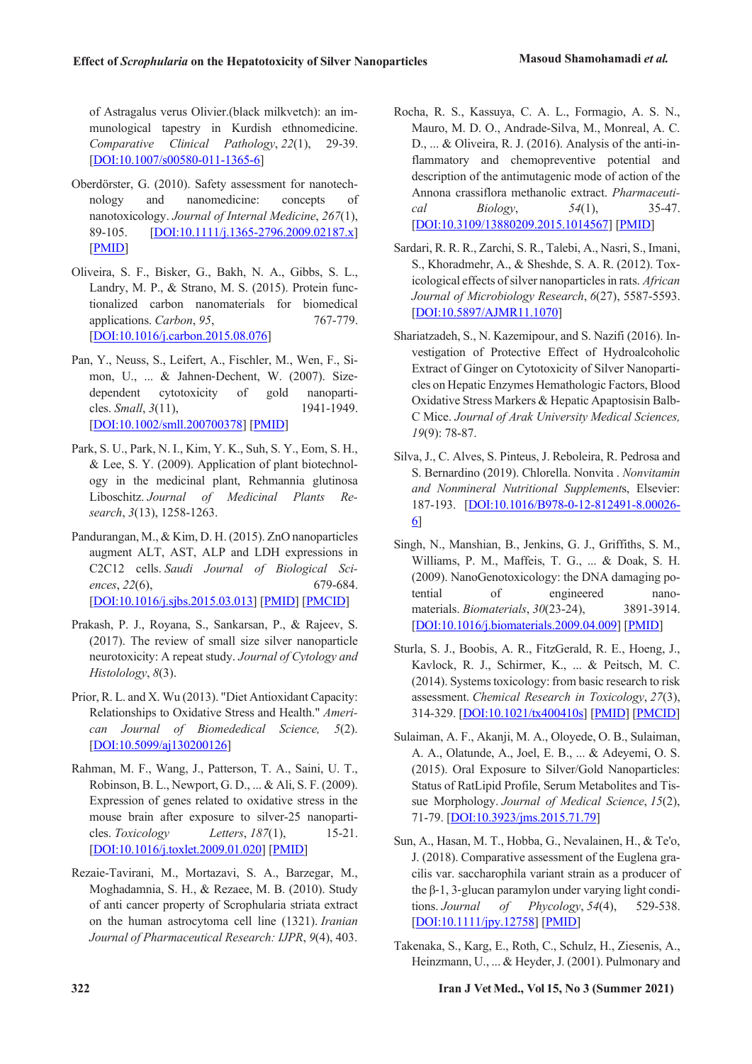of Astragalus verus Olivier.(black milkvetch): an immunological tapestry in Kurdish ethnomedicine. *Comparative Clinical Pathology*, *22*(1), 29-39. [DOI:10.1007/s00580-011-1365-6]

- Oberdörster, G. (2010). Safety assessment for nanotechnology and nanomedicine: concepts of nanotoxicology. *Journal of Internal Medicine*, *267*(1), 89-105. [DOI:10.1111/j.1365-2796.2009.02187.x] [PMID]
- Oliveira, S. F., Bisker, G., Bakh, N. A., Gibbs, S. L., Landry, M. P., & Strano, M. S. (2015). Protein functionalized carbon nanomaterials for biomedical applications. *Carbon*, *95*, 767-779. [DOI:10.1016/j.carbon.2015.08.076]
- Pan, Y., Neuss, S., Leifert, A., Fischler, M., Wen, F., Simon, U., ... & Jahnen-Dechent, W. (2007). Size-<br>dependent cytotoxicity of gold nanoparticytotoxicity cles. *Small*, *3*(11), 1941-1949. [DOI:10.1002/smll.200700378] [PMID]
- Park, S. U., Park, N. I., Kim, Y. K., Suh, S. Y., Eom, S. H., & Lee, S. Y. (2009). Application of plant biotechnology in the medicinal plant, Rehmannia glutinosa Liboschitz. *Journal of Medicinal Plants Research*, *3*(13), 1258-1263.
- Pandurangan, M., & Kim, D. H. (2015). ZnO nanoparticles augment ALT, AST, ALP and LDH expressions in C2C12 cells. *Saudi Journal of Biological Sciences*, *22*(6), 679-684. [DOI:10.1016/j.sjbs.2015.03.013] [PMID] [PMCID]
- Prakash, P. J., Royana, S., Sankarsan, P., & Rajeev, S. (2017). The review of small size silver nanoparticle neurotoxicity: A repeat study. *Journal of Cytology and Histolology*, *8*(3).
- Prior, R. L. and X. Wu (2013). "Diet Antioxidant Capacity: Relationships to Oxidative Stress and Health." *American Journal of Biomededical Science, 5*(2). [DOI:10.5099/aj130200126]
- Rahman, M. F., Wang, J., Patterson, T. A., Saini, U. T., Robinson, B. L., Newport, G. D., ... & Ali, S. F. (2009). Expression of genes related to oxidative stress in the mouse brain after exposure to silver-25 nanoparticles. *Toxicology Letters*, *187*(1), 15-21. [DOI:10.1016/j.toxlet.2009.01.020] [PMID]
- Rezaie-Tavirani, M., Mortazavi, S. A., Barzegar, M., Moghadamnia, S. H., & Rezaee, M. B. (2010). Study of anti cancer property of Scrophularia striata extract on the human astrocytoma cell line (1321). *Iranian Journal of Pharmaceutical Research: IJPR*, *9*(4), 403.
- Rocha, R. S., Kassuya, C. A. L., Formagio, A. S. N., Mauro, M. D. O., Andrade-Silva, M., Monreal, A. C. D., ... & Oliveira, R. J. (2016). Analysis of the anti-inflammatory and chemopreventive potential and description of the antimutagenic mode of action of the Annona crassiflora methanolic extract. *Pharmaceutical Biology*, *54*(1), 35-47. [DOI:10.3109/13880209.2015.1014567] [PMID]
- Sardari, R. R. R., Zarchi, S. R., Talebi, A., Nasri, S., Imani, S., Khoradmehr, A., & Sheshde, S. A. R. (2012). Toxicological effects of silver nanoparticles in rats. *African Journal of Microbiology Research*, *6*(27), 5587-5593. [DOI:10.5897/AJMR11.1070]
- Shariatzadeh, S., N. Kazemipour, and S. Nazifi (2016). Investigation of Protective Effect of Hydroalcoholic Extract of Ginger on Cytotoxicity of Silver Nanoparticles on Hepatic Enzymes Hemathologic Factors, Blood Oxidative Stress Markers & Hepatic Apaptosisin Balb-C Mice. *Journal of Arak University Medical Sciences, 19*(9): 78-87.
- Silva, J., C. Alves, S. Pinteus, J. Reboleira, R. Pedrosa and S. Bernardino (2019). Chlorella. Nonvita . *Nonvitamin and Nonmineral Nutritional Supplement*s, Elsevier: 187-193. [DOI:10.1016/B978-0-12-812491-8.00026- 6]
- Singh, N., Manshian, B., Jenkins, G. J., Griffiths, S. M., Williams, P. M., Maffeis, T. G., ... & Doak, S. H. (2009). NanoGenotoxicology: the DNA damaging potential of engineered nanomaterials. *Biomaterials*, *30*(23-24), 3891-3914. [DOI:10.1016/j.biomaterials.2009.04.009] [PMID]
- Sturla, S. J., Boobis, A. R., FitzGerald, R. E., Hoeng, J., Kavlock, R. J., Schirmer, K., ... & Peitsch, M. C. (2014). Systems toxicology: from basic research to risk assessment. *Chemical Research in Toxicology*, *27*(3), 314-329. [DOI:10.1021/tx400410s] [PMID] [PMCID]
- Sulaiman, A. F., Akanji, M. A., Oloyede, O. B., Sulaiman, A. A., Olatunde, A., Joel, E. B., ... & Adeyemi, O. S. (2015). Oral Exposure to Silver/Gold Nanoparticles: Status of RatLipid Profile, Serum Metabolites and Tissue Morphology. *Journal of Medical Science*, *15*(2), 71-79. [DOI:10.3923/jms.2015.71.79]
- Sun, A., Hasan, M. T., Hobba, G., Nevalainen, H., & Te'o, J. (2018). Comparative assessment of the Euglena gracilis var. saccharophila variant strain as a producer of the β‐1, 3‐glucan paramylon under varying light conditions. *Journal of Phycology*, *54*(4), 529-538. [DOI:10.1111/jpy.12758] [PMID]
- Takenaka, S., Karg, E., Roth, C., Schulz, H., Ziesenis, A., Heinzmann, U., ... & Heyder, J. (2001). Pulmonary and

**322 Iran J Vet Med., Vol 15, No 3 (Summer 2021)**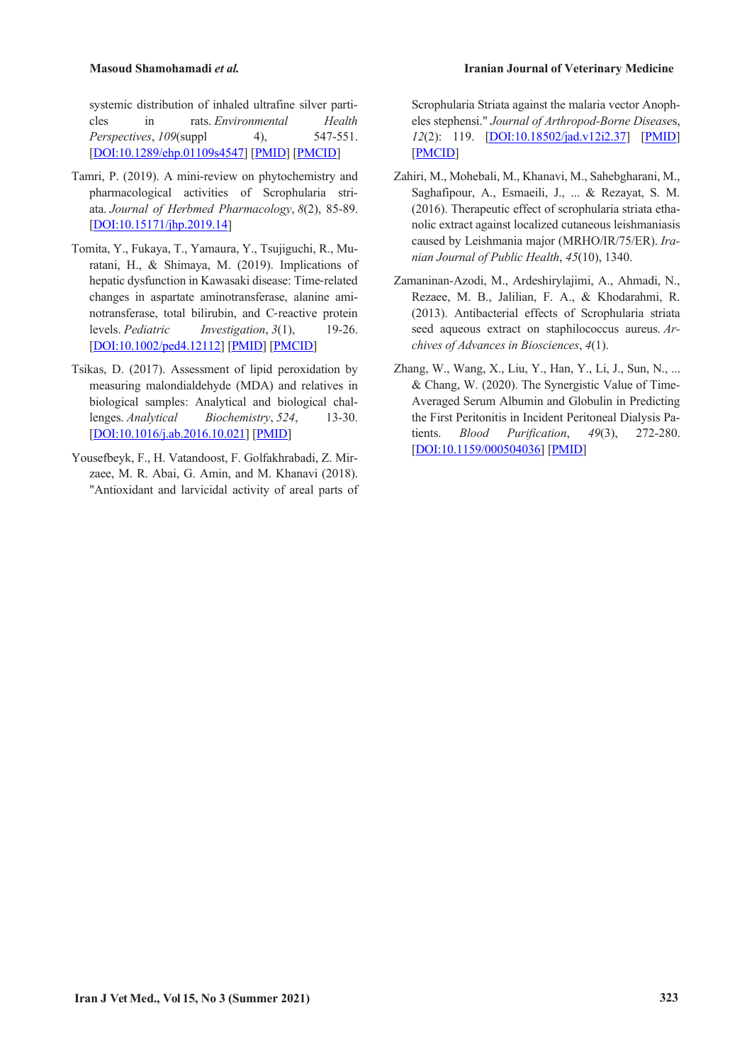systemic distribution of inhaled ultrafine silver particles in rats. *Environmental Health Perspectives*, *109*(suppl 4), 547-551. [DOI:10.1289/ehp.01109s4547] [PMID] [PMCID]

- Tamri, P. (2019). A mini-review on phytochemistry and pharmacological activities of Scrophularia striata. *Journal of Herbmed Pharmacology*, *8*(2), 85-89. [DOI:10.15171/jhp.2019.14]
- Tomita, Y., Fukaya, T., Yamaura, Y., Tsujiguchi, R., Muratani, H., & Shimaya, M. (2019). Implications of hepatic dysfunction in Kawasaki disease: Time‐related changes in aspartate aminotransferase, alanine aminotransferase, total bilirubin, and C-reactive protein<br>levels. *Pediatric Investigation*, 3(1), 19-26. *Investigation*,  $3(1)$ , [DOI:10.1002/ped4.12112] [PMID] [PMCID]
- Tsikas, D. (2017). Assessment of lipid peroxidation by measuring malondialdehyde (MDA) and relatives in biological samples: Analytical and biological challenges. *Analytical Biochemistry*, *524*, 13-30. [DOI:10.1016/j.ab.2016.10.021] [PMID]
- Yousefbeyk, F., H. Vatandoost, F. Golfakhrabadi, Z. Mirzaee, M. R. Abai, G. Amin, and M. Khanavi (2018). "Antioxidant and larvicidal activity of areal parts of

Scrophularia Striata against the malaria vector Anopheles stephensi." *Journal of Arthropod-Borne Disease*s, *12*(2): 119. [DOI:10.18502/jad.v12i2.37] [PMID] [PMCID]

- Zahiri, M., Mohebali, M., Khanavi, M., Sahebgharani, M., Saghafipour, A., Esmaeili, J., ... & Rezayat, S. M. (2016). Therapeutic effect of scrophularia striata ethanolic extract against localized cutaneous leishmaniasis caused by Leishmania major (MRHO/IR/75/ER). *Iranian Journal of Public Health*, *45*(10), 1340.
- Zamaninan-Azodi, M., Ardeshirylajimi, A., Ahmadi, N., Rezaee, M. B., Jalilian, F. A., & Khodarahmi, R. (2013). Antibacterial effects of Scrophularia striata seed aqueous extract on staphilococcus aureus. *Archives of Advances in Biosciences*, *4*(1).
- Zhang, W., Wang, X., Liu, Y., Han, Y., Li, J., Sun, N., ... & Chang, W. (2020). The Synergistic Value of Time-Averaged Serum Albumin and Globulin in Predicting the First Peritonitis in Incident Peritoneal Dialysis Patients. *Blood Purification*, *49*(3), 272-280. [DOI:10.1159/000504036] [PMID]